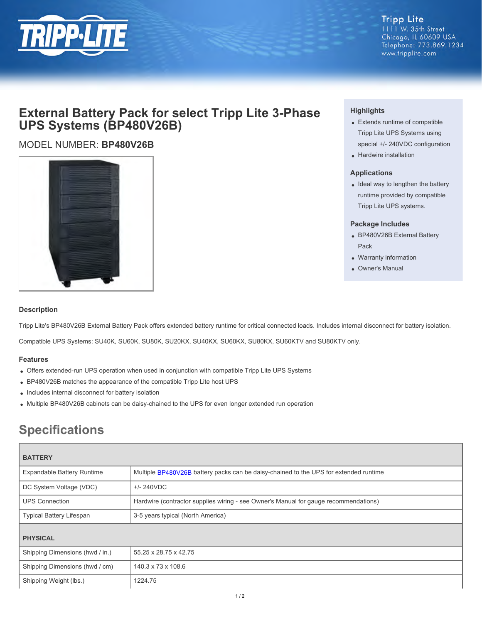

**Tripp Lite** 1111 W. 35th Street Chicago, IL 60609 USA Telephone: 773.869.1234 www.tripplite.com

## **External Battery Pack for select Tripp Lite 3-Phase UPS Systems (BP480V26B)**

### MODEL NUMBER: **BP480V26B**



#### **Highlights**

- Extends runtime of compatible Tripp Lite UPS Systems using special +/- 240VDC configuration
- Hardwire installation

#### **Applications**

• Ideal way to lengthen the battery runtime provided by compatible Tripp Lite UPS systems.

#### **Package Includes**

- BP480V26B External Battery Pack
- Warranty information
- Owner's Manual

#### **Description**

Tripp Lite's BP480V26B External Battery Pack offers extended battery runtime for critical connected loads. Includes internal disconnect for battery isolation.

Compatible UPS Systems: SU40K, SU60K, SU80K, SU20KX, SU40KX, SU60KX, SU80KX, SU60KTV and SU80KTV only.

#### **Features**

- Offers extended-run UPS operation when used in conjunction with compatible Tripp Lite UPS Systems
- BP480V26B matches the appearance of the compatible Tripp Lite host UPS
- Includes internal disconnect for battery isolation
- Multiple BP480V26B cabinets can be daisy-chained to the UPS for even longer extended run operation

# **Specifications**

| <b>BATTERY</b>                  |                                                                                       |
|---------------------------------|---------------------------------------------------------------------------------------|
| Expandable Battery Runtime      | Multiple BP480V26B battery packs can be daisy-chained to the UPS for extended runtime |
| DC System Voltage (VDC)         | $+/- 240VDC$                                                                          |
| <b>UPS Connection</b>           | Hardwire (contractor supplies wiring - see Owner's Manual for gauge recommendations)  |
| <b>Typical Battery Lifespan</b> | 3-5 years typical (North America)                                                     |
| <b>PHYSICAL</b>                 |                                                                                       |
| Shipping Dimensions (hwd / in.) | 55.25 x 28.75 x 42.75                                                                 |
| Shipping Dimensions (hwd / cm)  | 140.3 x 73 x 108.6                                                                    |
| Shipping Weight (lbs.)          | 1224.75                                                                               |